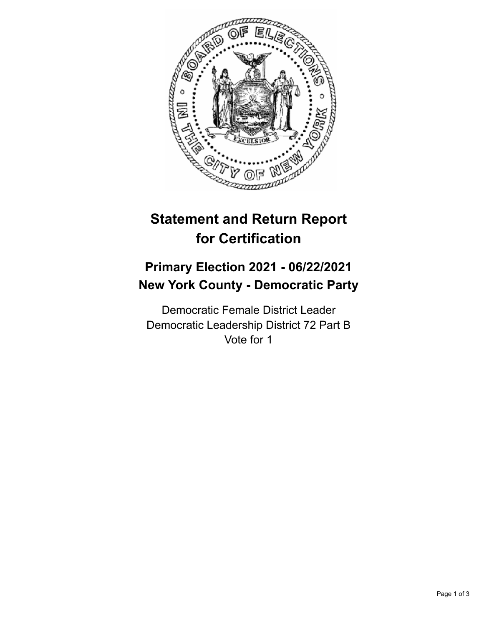

## **Statement and Return Report for Certification**

## **Primary Election 2021 - 06/22/2021 New York County - Democratic Party**

Democratic Female District Leader Democratic Leadership District 72 Part B Vote for 1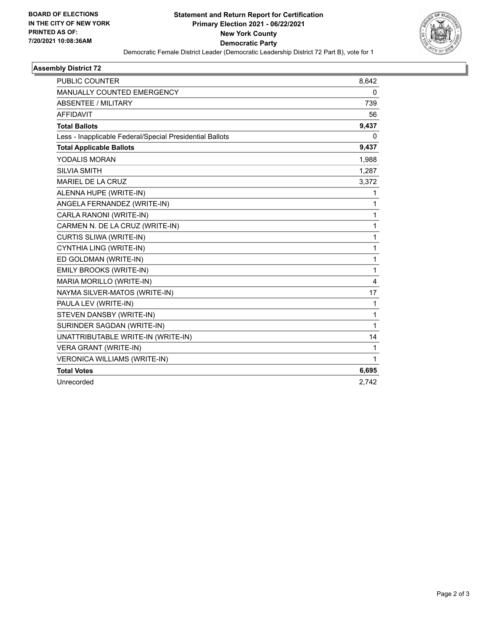

## **Assembly District 72**

| PUBLIC COUNTER                                           | 8,642 |
|----------------------------------------------------------|-------|
| <b>MANUALLY COUNTED EMERGENCY</b>                        | 0     |
| ABSENTEE / MILITARY                                      | 739   |
| <b>AFFIDAVIT</b>                                         | 56    |
| <b>Total Ballots</b>                                     | 9,437 |
| Less - Inapplicable Federal/Special Presidential Ballots | 0     |
| <b>Total Applicable Ballots</b>                          | 9,437 |
| YODALIS MORAN                                            | 1,988 |
| <b>SILVIA SMITH</b>                                      | 1,287 |
| MARIEL DE LA CRUZ                                        | 3,372 |
| ALENNA HUPE (WRITE-IN)                                   | 1     |
| ANGELA FERNANDEZ (WRITE-IN)                              | 1     |
| CARLA RANONI (WRITE-IN)                                  | 1     |
| CARMEN N. DE LA CRUZ (WRITE-IN)                          | 1     |
| CURTIS SLIWA (WRITE-IN)                                  | 1     |
| CYNTHIA LING (WRITE-IN)                                  | 1     |
| ED GOLDMAN (WRITE-IN)                                    | 1     |
| EMILY BROOKS (WRITE-IN)                                  | 1     |
| MARIA MORILLO (WRITE-IN)                                 | 4     |
| NAYMA SILVER-MATOS (WRITE-IN)                            | 17    |
| PAULA LEV (WRITE-IN)                                     | 1     |
| STEVEN DANSBY (WRITE-IN)                                 | 1     |
| SURINDER SAGDAN (WRITE-IN)                               | 1     |
| UNATTRIBUTABLE WRITE-IN (WRITE-IN)                       | 14    |
| VERA GRANT (WRITE-IN)                                    | 1     |
| VERONICA WILLIAMS (WRITE-IN)                             | 1     |
| <b>Total Votes</b>                                       | 6,695 |
| Unrecorded                                               | 2,742 |